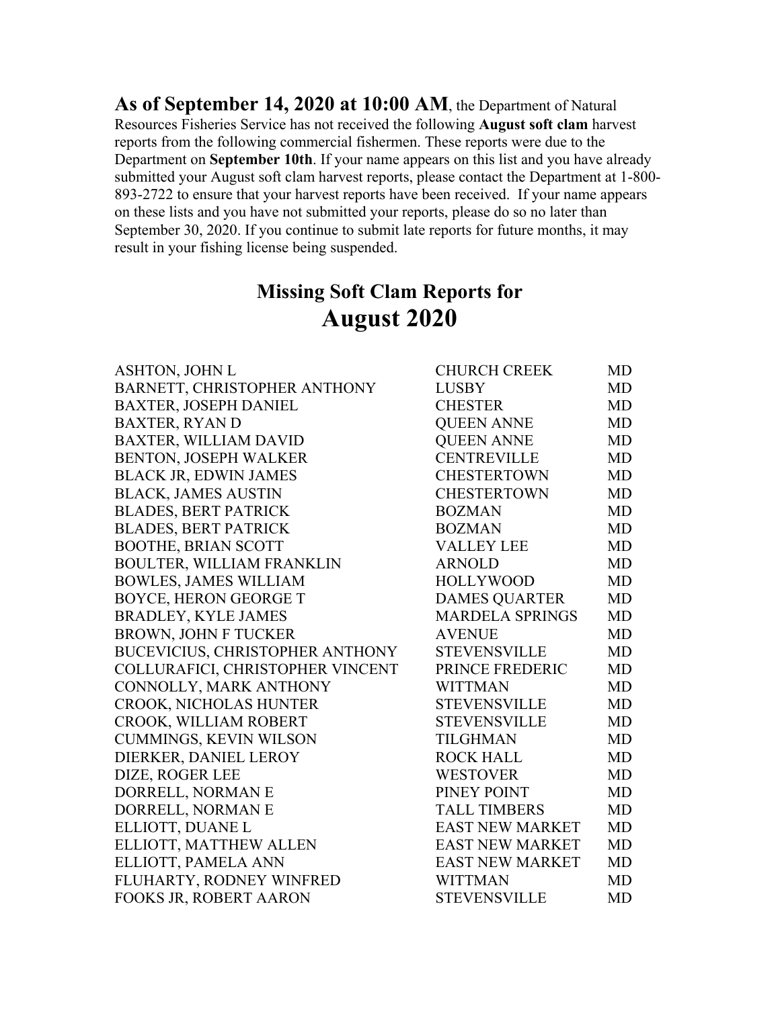**As of September 14, 2020 at 10:00 AM**, the Department of Natural Resources Fisheries Service has not received the following **August soft clam** harvest reports from the following commercial fishermen. These reports were due to the Department on **September 10th**. If your name appears on this list and you have already submitted your August soft clam harvest reports, please contact the Department at 1-800- 893-2722 to ensure that your harvest reports have been received. If your name appears on these lists and you have not submitted your reports, please do so no later than September 30, 2020. If you continue to submit late reports for future months, it may result in your fishing license being suspended.

## **Missing Soft Clam Reports for August 2020**

| ASHTON, JOHN L                         | <b>CHURCH CREEK</b>    | MD        |
|----------------------------------------|------------------------|-----------|
| BARNETT, CHRISTOPHER ANTHONY           | <b>LUSBY</b>           | <b>MD</b> |
| <b>BAXTER, JOSEPH DANIEL</b>           | <b>CHESTER</b>         | MD        |
| <b>BAXTER, RYAN D</b>                  | <b>QUEEN ANNE</b>      | <b>MD</b> |
| <b>BAXTER, WILLIAM DAVID</b>           | <b>QUEEN ANNE</b>      | <b>MD</b> |
| <b>BENTON, JOSEPH WALKER</b>           | <b>CENTREVILLE</b>     | <b>MD</b> |
| <b>BLACK JR, EDWIN JAMES</b>           | <b>CHESTERTOWN</b>     | <b>MD</b> |
| <b>BLACK, JAMES AUSTIN</b>             | <b>CHESTERTOWN</b>     | MD        |
| <b>BLADES, BERT PATRICK</b>            | <b>BOZMAN</b>          | <b>MD</b> |
| <b>BLADES, BERT PATRICK</b>            | <b>BOZMAN</b>          | <b>MD</b> |
| <b>BOOTHE, BRIAN SCOTT</b>             | <b>VALLEY LEE</b>      | <b>MD</b> |
| <b>BOULTER, WILLIAM FRANKLIN</b>       | <b>ARNOLD</b>          | <b>MD</b> |
| <b>BOWLES, JAMES WILLIAM</b>           | <b>HOLLYWOOD</b>       | MD        |
| <b>BOYCE, HERON GEORGE T</b>           | <b>DAMES QUARTER</b>   | <b>MD</b> |
| <b>BRADLEY, KYLE JAMES</b>             | <b>MARDELA SPRINGS</b> | <b>MD</b> |
| <b>BROWN, JOHN F TUCKER</b>            | <b>AVENUE</b>          | MD        |
| <b>BUCEVICIUS, CHRISTOPHER ANTHONY</b> | <b>STEVENSVILLE</b>    | <b>MD</b> |
| COLLURAFICI, CHRISTOPHER VINCENT       | PRINCE FREDERIC        | <b>MD</b> |
| CONNOLLY, MARK ANTHONY                 | <b>WITTMAN</b>         | <b>MD</b> |
| <b>CROOK, NICHOLAS HUNTER</b>          | <b>STEVENSVILLE</b>    | <b>MD</b> |
| CROOK, WILLIAM ROBERT                  | <b>STEVENSVILLE</b>    | <b>MD</b> |
| <b>CUMMINGS, KEVIN WILSON</b>          | <b>TILGHMAN</b>        | <b>MD</b> |
| DIERKER, DANIEL LEROY                  | <b>ROCK HALL</b>       | <b>MD</b> |
| DIZE, ROGER LEE                        | <b>WESTOVER</b>        | <b>MD</b> |
| DORRELL, NORMAN E                      | PINEY POINT            | <b>MD</b> |
| DORRELL, NORMAN E                      | <b>TALL TIMBERS</b>    | <b>MD</b> |
| ELLIOTT, DUANE L                       | <b>EAST NEW MARKET</b> | <b>MD</b> |
| ELLIOTT, MATTHEW ALLEN                 | <b>EAST NEW MARKET</b> | <b>MD</b> |
| ELLIOTT, PAMELA ANN                    | <b>EAST NEW MARKET</b> | <b>MD</b> |
| FLUHARTY, RODNEY WINFRED               | <b>WITTMAN</b>         | <b>MD</b> |
| FOOKS JR, ROBERT AARON                 | <b>STEVENSVILLE</b>    | <b>MD</b> |
|                                        |                        |           |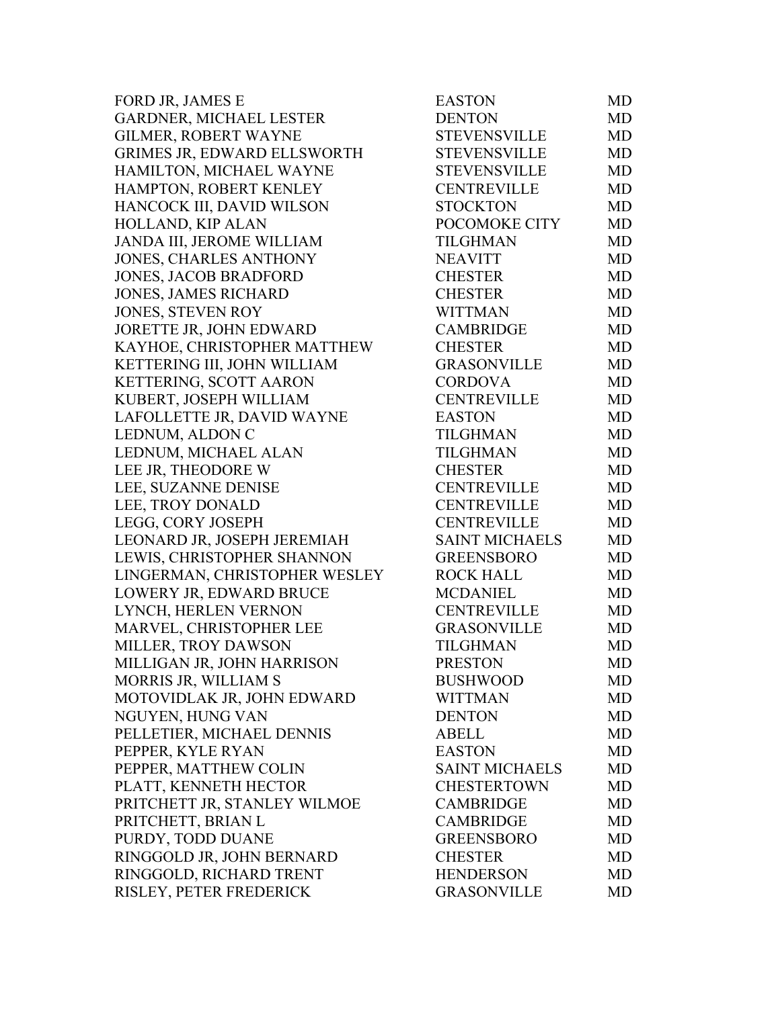| FORD JR, JAMES E                   | <b>EASTON</b>         | <b>MD</b> |
|------------------------------------|-----------------------|-----------|
| GARDNER, MICHAEL LESTER            | <b>DENTON</b>         | <b>MD</b> |
| GILMER, ROBERT WAYNE               | <b>STEVENSVILLE</b>   | <b>MD</b> |
| <b>GRIMES JR, EDWARD ELLSWORTH</b> | <b>STEVENSVILLE</b>   | <b>MD</b> |
| HAMILTON, MICHAEL WAYNE            | <b>STEVENSVILLE</b>   | <b>MD</b> |
| HAMPTON, ROBERT KENLEY             | <b>CENTREVILLE</b>    | <b>MD</b> |
| HANCOCK III, DAVID WILSON          | <b>STOCKTON</b>       | <b>MD</b> |
| HOLLAND, KIP ALAN                  | POCOMOKE CITY         | MD        |
| JANDA III, JEROME WILLIAM          | <b>TILGHMAN</b>       | <b>MD</b> |
| <b>JONES, CHARLES ANTHONY</b>      | <b>NEAVITT</b>        | <b>MD</b> |
| <b>JONES, JACOB BRADFORD</b>       | <b>CHESTER</b>        | <b>MD</b> |
| <b>JONES, JAMES RICHARD</b>        | <b>CHESTER</b>        | <b>MD</b> |
| JONES, STEVEN ROY                  | WITTMAN               | <b>MD</b> |
| JORETTE JR, JOHN EDWARD            | <b>CAMBRIDGE</b>      | <b>MD</b> |
| KAYHOE, CHRISTOPHER MATTHEW        | <b>CHESTER</b>        | <b>MD</b> |
| KETTERING III, JOHN WILLIAM        | <b>GRASONVILLE</b>    | <b>MD</b> |
| KETTERING, SCOTT AARON             | <b>CORDOVA</b>        | <b>MD</b> |
| KUBERT, JOSEPH WILLIAM             | <b>CENTREVILLE</b>    | <b>MD</b> |
| LAFOLLETTE JR, DAVID WAYNE         | <b>EASTON</b>         | <b>MD</b> |
| LEDNUM, ALDON C                    | TILGHMAN              | <b>MD</b> |
| LEDNUM, MICHAEL ALAN               | TILGHMAN              | <b>MD</b> |
| LEE JR, THEODORE W                 | <b>CHESTER</b>        | <b>MD</b> |
| LEE, SUZANNE DENISE                | <b>CENTREVILLE</b>    | <b>MD</b> |
| LEE, TROY DONALD                   | <b>CENTREVILLE</b>    | <b>MD</b> |
| LEGG, CORY JOSEPH                  | <b>CENTREVILLE</b>    | <b>MD</b> |
| LEONARD JR, JOSEPH JEREMIAH        | <b>SAINT MICHAELS</b> | MD        |
| LEWIS, CHRISTOPHER SHANNON         | <b>GREENSBORO</b>     | <b>MD</b> |
| LINGERMAN, CHRISTOPHER WESLEY      | <b>ROCK HALL</b>      | <b>MD</b> |
| LOWERY JR, EDWARD BRUCE            | <b>MCDANIEL</b>       | <b>MD</b> |
| LYNCH, HERLEN VERNON               | CENTREVILLE           | <b>MD</b> |
| MARVEL, CHRISTOPHER LEE            | <b>GRASONVILLE</b>    | <b>MD</b> |
| MILLER, TROY DAWSON                | <b>TILGHMAN</b>       | <b>MD</b> |
| MILLIGAN JR, JOHN HARRISON         | <b>PRESTON</b>        | MD        |
| MORRIS JR, WILLIAM S               | <b>BUSHWOOD</b>       | MD        |
| MOTOVIDLAK JR, JOHN EDWARD         | <b>WITTMAN</b>        | MD        |
| NGUYEN, HUNG VAN                   | <b>DENTON</b>         | <b>MD</b> |
| PELLETIER, MICHAEL DENNIS          | <b>ABELL</b>          | <b>MD</b> |
| PEPPER, KYLE RYAN                  | <b>EASTON</b>         | <b>MD</b> |
| PEPPER, MATTHEW COLIN              | <b>SAINT MICHAELS</b> | <b>MD</b> |
| PLATT, KENNETH HECTOR              | <b>CHESTERTOWN</b>    | MD        |
| PRITCHETT JR, STANLEY WILMOE       | <b>CAMBRIDGE</b>      | MD        |
| PRITCHETT, BRIAN L                 | <b>CAMBRIDGE</b>      | MD        |
| PURDY, TODD DUANE                  | <b>GREENSBORO</b>     | <b>MD</b> |
| RINGGOLD JR, JOHN BERNARD          | <b>CHESTER</b>        | <b>MD</b> |
| RINGGOLD, RICHARD TRENT            | HENDERSON             | <b>MD</b> |
| RISLEY, PETER FREDERICK            | <b>GRASONVILLE</b>    | <b>MD</b> |
|                                    |                       |           |